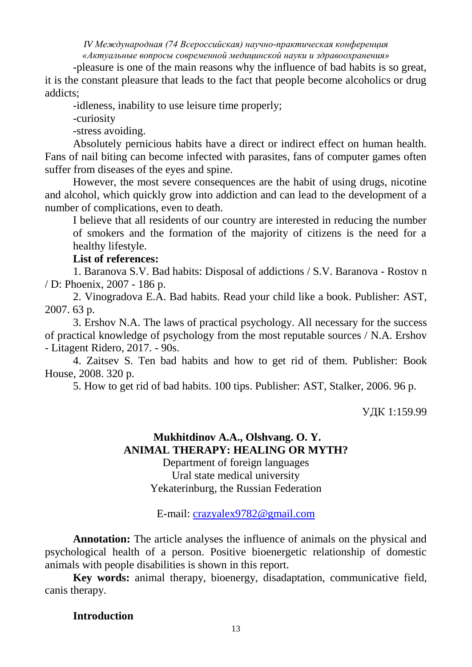-pleasure is one of the main reasons why the influence of bad habits is so great, it is the constant pleasure that leads to the fact that people become alcoholics or drug addicts;

-idleness, inability to use leisure time properly;

-curiosity

-stress avoiding.

Absolutely pernicious habits have a direct or indirect effect on human health. Fans of nail biting can become infected with parasites, fans of computer games often suffer from diseases of the eyes and spine.

However, the most severe consequences are the habit of using drugs, nicotine and alcohol, which quickly grow into addiction and can lead to the development of a number of complications, even to death.

I believe that all residents of our country are interested in reducing the number of smokers and the formation of the majority of citizens is the need for a healthy lifestyle.

## **List of references:**

1. Baranova S.V. Bad habits: Disposal of addictions / S.V. Baranova - Rostov n / D: Phoenix, 2007 - 186 p.

2. Vinogradova E.A. Bad habits. Read your child like a book. Publisher: AST, 2007. 63 p.

3. Ershov N.A. The laws of practical psychology. All necessary for the success of practical knowledge of psychology from the most reputable sources / N.A. Ershov - Litagent Ridero, 2017. - 90s.

4. Zaitsev S. Ten bad habits and how to get rid of them. Publisher: Book House, 2008. 320 p.

5. How to get rid of bad habits. 100 tips. Publisher: AST, Stalker, 2006. 96 p.

УДК 1:159.99

## **Mukhitdinov A.A., Olshvang. O. Y. ANIMAL THERAPY: HEALING OR MYTH?**

Department of foreign languages Ural state medical university Yekaterinburg, the Russian Federation

E-mail: [crazyalex9782@gmail.com](mailto:crazyalex9782@gmail.com)

**Annotation:** The article analyses the influence of animals on the physical and psychological health of a person. Positive bioenergetic relationship of domestic animals with people disabilities is shown in this report.

**Key words:** animal therapy, bioenergy, disadaptation, communicative field, canis therapy.

### **Introduction**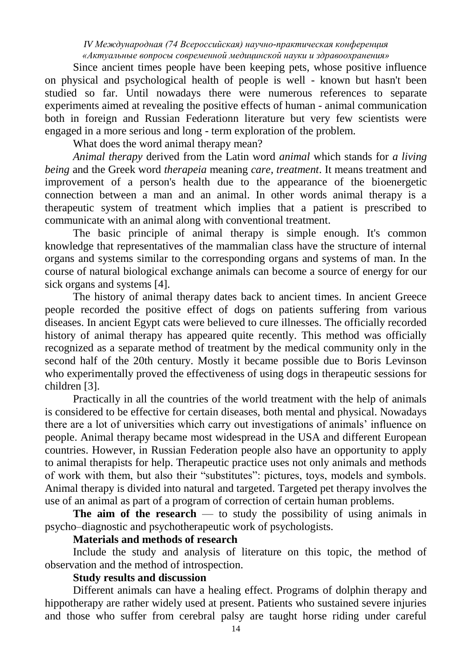Since ancient times people have been keeping pets, whose positive influence on physical and psychological health of people is well - known but hasn't been studied so far. Until nowadays there were numerous references to separate experiments aimed at revealing the positive effects of human - animal communication both in foreign and Russian Federationn literature but very few scientists were engaged in a more serious and long - term exploration of the problem.

What does the word animal therapy mean?

*Animal therapy* derived from the Latin word *animal* which stands for *a living being* and the Greek word *therapeia* meaning *care, treatment*. It means treatment and improvement of a person's health due to the appearance of the bioenergetic connection between a man and an animal. In other words animal therapy is a therapeutic system of treatment which implies that a patient is prescribed to communicate with an animal along with conventional treatment.

The basic principle of animal therapy is simple enough. It's common knowledge that representatives of the mammalian class have the structure of internal organs and systems similar to the corresponding organs and systems of man. In the course of natural biological exchange animals can become a source of energy for our sick organs and systems [4].

The history of animal therapy dates back to ancient times. In ancient Greece people recorded the positive effect of dogs on patients suffering from various diseases. In ancient Egypt cats were believed to cure illnesses. The officially recorded history of animal therapy has appeared quite recently. This method was officially recognized as a separate method of treatment by the medical community only in the second half of the 20th century. Mostly it became possible due to Boris Levinson who experimentally proved the effectiveness of using dogs in therapeutic sessions for children [3].

Practically in all the countries of the world treatment with the help of animals is considered to be effective for certain diseases, both mental and physical. Nowadays there are a lot of universities which carry out investigations of animals' influence on people. Animal therapy became most widespread in the USA and different European countries. However, in Russian Federation people also have an opportunity to apply to animal therapists for help. Therapeutic practice uses not only animals and methods of work with them, but also their "substitutes": pictures, toys, models and symbols. Animal therapy is divided into natural and targeted. Targeted pet therapy involves the use of an animal as part of a program of correction of certain human problems.

**The aim of the research** — to study the possibility of using animals in psycho–diagnostic and psychotherapeutic work of psychologists.

## **Materials and methods of research**

Include the study and analysis of literature on this topic, the method of observation and the method of introspection.

### **Study results and discussion**

Different animals can have a healing effect. Programs of dolphin therapy and hippotherapy are rather widely used at present. Patients who sustained severe injuries and those who suffer from cerebral palsy are taught horse riding under careful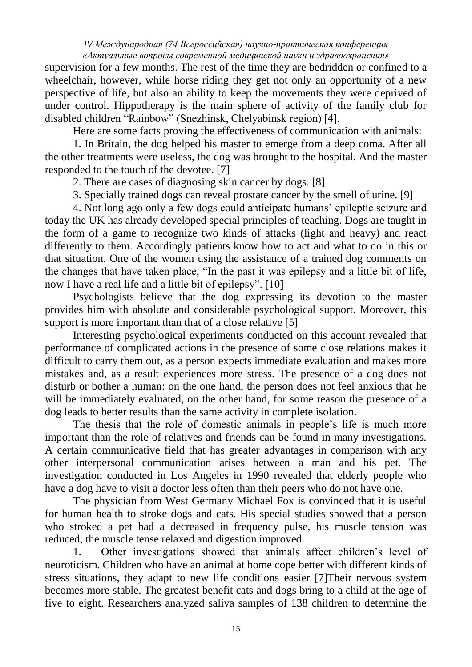supervision for a few months. The rest of the time they are bedridden or confined to a wheelchair, however, while horse riding they get not only an opportunity of a new perspective of life, but also an ability to keep the movements they were deprived of under control. Hippotherapy is the main sphere of activity of the family club for disabled children "Rainbow" (Snezhinsk, Chelyabinsk region) [4].

Here are some facts proving the effectiveness of communication with animals:

1. In Britain, the dog helped his master to emerge from a deep coma. After all the other treatments were useless, the dog was brought to the hospital. And the master responded to the touch of the devotee. [7]

2. There are cases of diagnosing skin cancer by dogs. [8]

3. Specially trained dogs can reveal prostate cancer by the smell of urine. [9]

4. Not long ago only a few dogs could anticipate humans' epileptic seizure and today the UK has already developed special principles of teaching. Dogs are taught in the form of a game to recognize two kinds of attacks (light and heavy) and react differently to them. Accordingly patients know how to act and what to do in this or that situation. One of the women using the assistance of a trained dog comments on the changes that have taken place, "In the past it was epilepsy and a little bit of life, now I have a real life and a little bit of epilepsy". [10]

Psychologists believe that the dog expressing its devotion to the master provides him with absolute and considerable psychological support. Moreover, this support is more important than that of a close relative [5]

Interesting psychological experiments conducted on this account revealed that performance of complicated actions in the presence of some close relations makes it difficult to carry them out, as a person expects immediate evaluation and makes more mistakes and, as a result experiences more stress. The presence of a dog does not disturb or bother a human: on the one hand, the person does not feel anxious that he will be immediately evaluated, on the other hand, for some reason the presence of a dog leads to better results than the same activity in complete isolation.

The thesis that the role of domestic animals in people's life is much more important than the role of relatives and friends can be found in many investigations. A certain communicative field that has greater advantages in comparison with any other interpersonal communication arises between a man and his pet. The investigation conducted in Los Angeles in 1990 revealed that elderly people who have a dog have to visit a doctor less often than their peers who do not have one.

The physician from West Germany Michael Fox is convinced that it is useful for human health to stroke dogs and cats. His special studies showed that a person who stroked a pet had a decreased in frequency pulse, his muscle tension was reduced, the muscle tense relaxed and digestion improved.

1. Other investigations showed that animals affect children's level of neuroticism. Children who have an animal at home cope better with different kinds of stress situations, they adapt to new life conditions easier [7]Their nervous system becomes more stable. The greatest benefit cats and dogs bring to a child at the age of five to eight. Researchers analyzed saliva samples of 138 children to determine the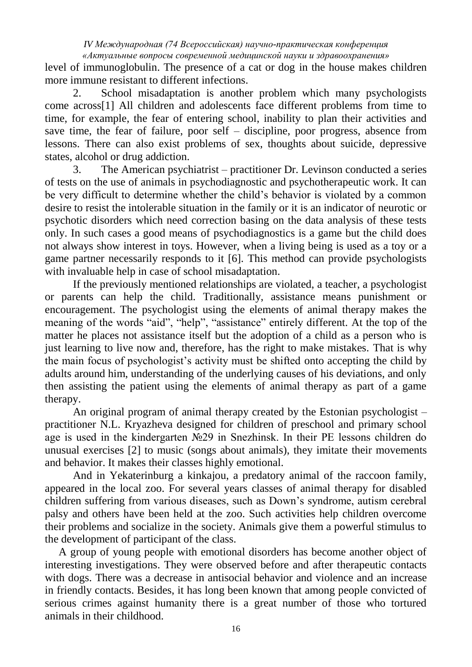level of immunoglobulin. The presence of a cat or dog in the house makes children more immune resistant to different infections.

2. School misadaptation is another problem which many psychologists come across[1] All children and adolescents face different problems from time to time, for example, the fear of entering school, inability to plan their activities and save time, the fear of failure, poor self – discipline, poor progress, absence from lessons. There can also exist problems of sex, thoughts about suicide, depressive states, alcohol or drug addiction.

3. The American psychiatrist – practitioner Dr. Levinson conducted a series of tests on the use of animals in psychodiagnostic and psychotherapeutic work. It can be very difficult to determine whether the child's behavior is violated by a common desire to resist the intolerable situation in the family or it is an indicator of neurotic or psychotic disorders which need correction basing on the data analysis of these tests only. In such cases a good means of psychodiagnostics is a game but the child does not always show interest in toys. However, when a living being is used as a toy or a game partner necessarily responds to it [6]. This method can provide psychologists with invaluable help in case of school misadaptation.

If the previously mentioned relationships are violated, a teacher, a psychologist or parents can help the child. Traditionally, assistance means punishment or encouragement. The psychologist using the elements of animal therapy makes the meaning of the words "aid", "help", "assistance" entirely different. At the top of the matter he places not assistance itself but the adoption of a child as a person who is just learning to live now and, therefore, has the right to make mistakes. That is why the main focus of psychologist's activity must be shifted onto accepting the child by adults around him, understanding of the underlying causes of his deviations, and only then assisting the patient using the elements of animal therapy as part of a game therapy.

An original program of animal therapy created by the Estonian psychologist – practitioner N.L. Kryazheva designed for children of preschool and primary school age is used in the kindergarten №29 in Snezhinsk. In their PE lessons children do unusual exercises [2] to music (songs about animals), they imitate their movements and behavior. It makes their classes highly emotional.

And in Yekaterinburg a kinkajou, a predatory animal of the raccoon family, appeared in the local zoo. For several years classes of animal therapy for disabled children suffering from various diseases, such as Down's syndrome, autism cerebral palsy and others have been held at the zoo. Such activities help children overcome their problems and socialize in the society. Animals give them a powerful stimulus to the development of participant of the class.

 A group of young people with emotional disorders has become another object of interesting investigations. They were observed before and after therapeutic contacts with dogs. There was a decrease in antisocial behavior and violence and an increase in friendly contacts. Besides, it has long been known that among people convicted of serious crimes against humanity there is a great number of those who tortured animals in their childhood.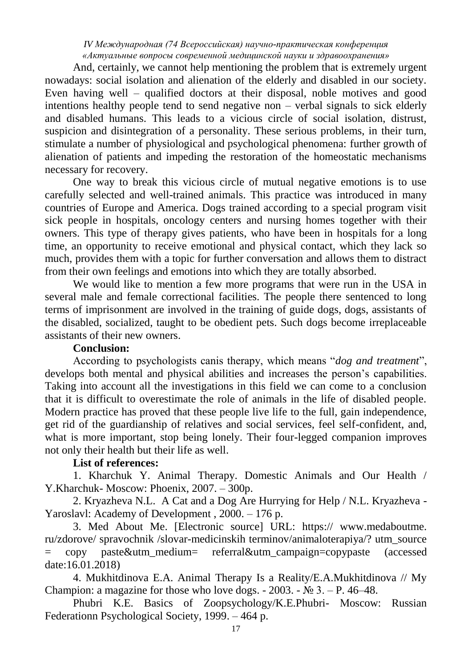And, certainly, we cannot help mentioning the problem that is extremely urgent nowadays: social isolation and alienation of the elderly and disabled in our society. Even having well – qualified doctors at their disposal, noble motives and good intentions healthy people tend to send negative non – verbal signals to sick elderly and disabled humans. This leads to a vicious circle of social isolation, distrust, suspicion and disintegration of a personality. These serious problems, in their turn, stimulate a number of physiological and psychological phenomena: further growth of alienation of patients and impeding the restoration of the homeostatic mechanisms necessary for recovery.

One way to break this vicious circle of mutual negative emotions is to use carefully selected and well-trained animals. This practice was introduced in many countries of Europe and America. Dogs trained according to a special program visit sick people in hospitals, oncology centers and nursing homes together with their owners. This type of therapy gives patients, who have been in hospitals for a long time, an opportunity to receive emotional and physical contact, which they lack so much, provides them with a topic for further conversation and allows them to distract from their own feelings and emotions into which they are totally absorbed.

We would like to mention a few more programs that were run in the USA in several male and female correctional facilities. The people there sentenced to long terms of imprisonment are involved in the training of guide dogs, dogs, assistants of the disabled, socialized, taught to be obedient pets. Such dogs become irreplaceable assistants of their new owners.

## **Conclusion:**

According to psychologists canis therapy, which means "*dog and treatment*", develops both mental and physical abilities and increases the person's capabilities. Taking into account all the investigations in this field we can come to a conclusion that it is difficult to overestimate the role of animals in the life of disabled people. Modern practice has proved that these people live life to the full, gain independence, get rid of the guardianship of relatives and social services, feel self-confident, and, what is more important, stop being lonely. Their four-legged companion improves not only their health but their life as well.

## **List of references:**

1. Kharchuk Y. Animal Therapy. Domestic Animals and Our Health / Y.Kharchuk- Мoscow: Phoenix, 2007. – 300p.

2. Kryazheva N.L. A Cat and a Dog Are Hurrying for Help / N.L. Kryazheva - Yaroslavl: Academy of Development , 2000. – 176 p.

3. Med About Me. [Electronic source] URL: https:// www.medaboutme. ru/zdorove/ spravochnik /slovar-medicinskih terminov/animaloterapiya/? utm\_source = copy paste&utm\_medium= referral&utm\_campaign=copypaste (accessed date:16.01.2018)

4. Mukhitdinova E.A. Animal Therapy Is a Reality/E.A.Mukhitdinova // My Champion: a magazine for those who love dogs.  $-2003$ .  $-$  N° 3.  $-$  P. 46–48.

Phubri K.E. Basics of Zoopsychology/K.E.Phubri- Мoscow: Russian Federationn Psychological Society, 1999. – 464 p.